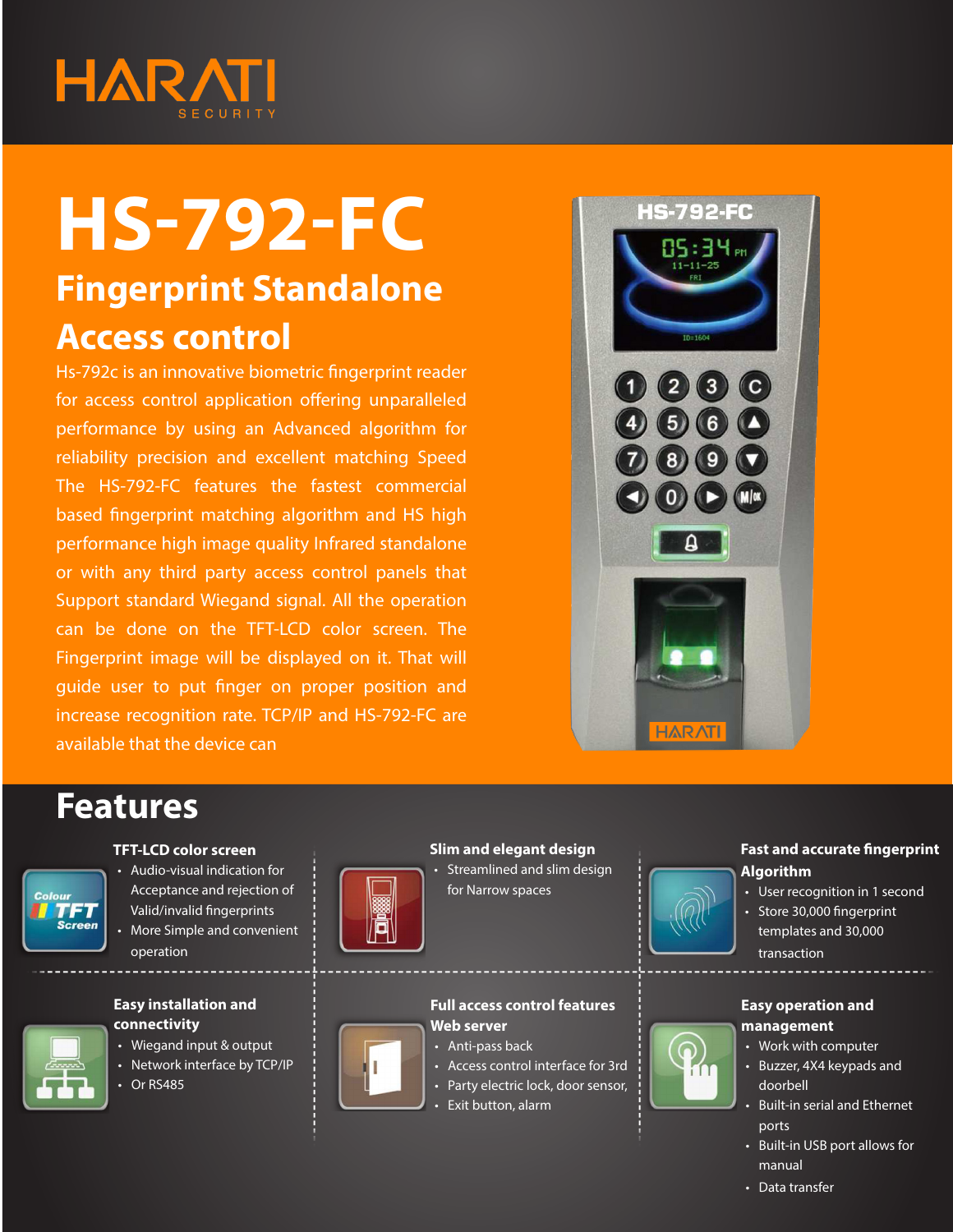

# **HS-792-FC**

# **Fingerprint Standalone Access control**

Hs-792c is an innovative biometric fingerprint reader for access control application offering unparalleled performance by using an Advanced algorithm for reliability precision and excellent matching Speed The HS-792-FC features the fastest commercial based fingerprint matching algorithm and HS high performance high image quality Infrared standalone or with any third party access control panels that Support standard Wiegand signal. All the operation can be done on the TFT-LCD color screen. The Fingerprint image will be displayed on it. That will guide user to put finger on proper position and increase recognition rate. TCP/IP and HS-792-FC are available that the device can



## **Features**



## **TFT-LCD color screen**

• Audio-visual indication for Acceptance and rejection of Valid/invalid fingerprints • More Simple and convenient operation



- • Wiegand input & output
- Network interface by TCP/IP
- **Or RS485**



#### **Slim and elegant design** • Streamlined and slim design for Narrow spaces



## **Fast and accurate fingerprint Algorithm**

- User recognition in 1 second
- • Store 30,000 fingerprint templates and 30,000 transaction

### **Easy operation and management**

- • Work with computer
- • Buzzer, 4X4 keypads and doorbell
- • Built-in serial and Ethernet ports
- • Built-in USB port allows for manual
- Data transfer



#### **Full access control features Web server**

- Anti-pass back
- • Access control interface for 3rd
- Party electric lock, door sensor,
- • Exit button, alarm